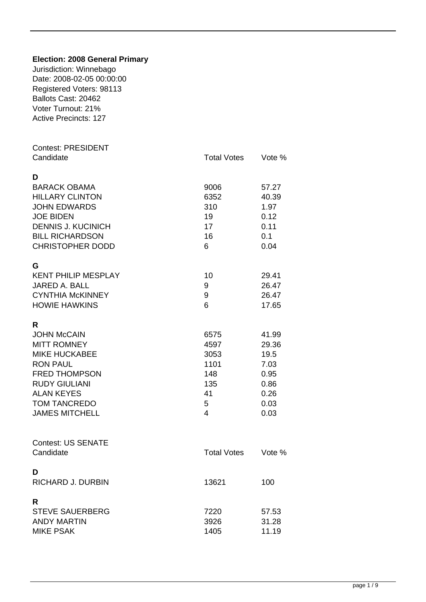| <b>Election: 2008 General Primary</b><br>Jurisdiction: Winnebago<br>Date: 2008-02-05 00:00:00<br>Registered Voters: 98113<br>Ballots Cast: 20462<br>Voter Turnout: 21%<br><b>Active Precincts: 127</b>        |                                                                                   |                                                                        |
|---------------------------------------------------------------------------------------------------------------------------------------------------------------------------------------------------------------|-----------------------------------------------------------------------------------|------------------------------------------------------------------------|
| <b>Contest: PRESIDENT</b><br>Candidate                                                                                                                                                                        | <b>Total Votes</b>                                                                | Vote %                                                                 |
| D<br><b>BARACK OBAMA</b><br><b>HILLARY CLINTON</b><br><b>JOHN EDWARDS</b><br><b>JOE BIDEN</b><br><b>DENNIS J. KUCINICH</b><br><b>BILL RICHARDSON</b><br><b>CHRISTOPHER DODD</b>                               | 9006<br>6352<br>310<br>19<br>17<br>16<br>6                                        | 57.27<br>40.39<br>1.97<br>0.12<br>0.11<br>0.1<br>0.04                  |
| G<br><b>KENT PHILIP MESPLAY</b><br>JARED A. BALL<br><b>CYNTHIA McKINNEY</b><br><b>HOWIE HAWKINS</b>                                                                                                           | 10<br>9<br>9<br>6                                                                 | 29.41<br>26.47<br>26.47<br>17.65                                       |
| R<br><b>JOHN McCAIN</b><br><b>MITT ROMNEY</b><br><b>MIKE HUCKABEE</b><br><b>RON PAUL</b><br><b>FRED THOMPSON</b><br><b>RUDY GIULIANI</b><br><b>ALAN KEYES</b><br><b>TOM TANCREDO</b><br><b>JAMES MITCHELL</b> | 6575<br>4597<br>3053<br>1101<br>148<br>135<br>41<br>5<br>$\overline{\mathcal{A}}$ | 41.99<br>29.36<br>19.5<br>7.03<br>0.95<br>0.86<br>0.26<br>0.03<br>0.03 |
| <b>Contest: US SENATE</b><br>Candidate                                                                                                                                                                        | <b>Total Votes</b>                                                                | Vote %                                                                 |
| D<br>RICHARD J. DURBIN                                                                                                                                                                                        | 13621                                                                             | 100                                                                    |
| R<br><b>STEVE SAUERBERG</b><br><b>ANDY MARTIN</b><br><b>MIKE PSAK</b>                                                                                                                                         | 7220<br>3926<br>1405                                                              | 57.53<br>31.28<br>11.19                                                |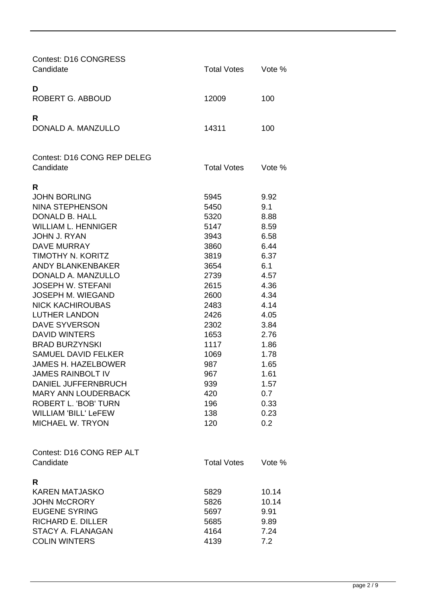| <b>Contest: D16 CONGRESS</b><br>Candidate              | <b>Total Votes</b> | Vote %      |
|--------------------------------------------------------|--------------------|-------------|
| D<br>ROBERT G. ABBOUD                                  | 12009              | 100         |
| R<br>DONALD A. MANZULLO                                | 14311              | 100         |
| <b>Contest: D16 CONG REP DELEG</b>                     |                    |             |
| Candidate                                              | <b>Total Votes</b> | Vote %      |
| R                                                      |                    |             |
| <b>JOHN BORLING</b>                                    | 5945               | 9.92        |
| <b>NINA STEPHENSON</b>                                 | 5450               | 9.1         |
| DONALD B. HALL                                         | 5320               | 8.88        |
| <b>WILLIAM L. HENNIGER</b>                             | 5147               | 8.59        |
| <b>JOHN J. RYAN</b>                                    | 3943               | 6.58        |
| <b>DAVE MURRAY</b>                                     | 3860               | 6.44        |
| TIMOTHY N. KORITZ                                      | 3819               | 6.37        |
| <b>ANDY BLANKENBAKER</b>                               | 3654               | 6.1         |
| DONALD A. MANZULLO                                     | 2739               | 4.57        |
| <b>JOSEPH W. STEFANI</b>                               | 2615               | 4.36        |
| JOSEPH M. WIEGAND                                      | 2600               | 4.34        |
| <b>NICK KACHIROUBAS</b>                                | 2483               | 4.14        |
| <b>LUTHER LANDON</b>                                   | 2426               | 4.05        |
| <b>DAVE SYVERSON</b>                                   | 2302               | 3.84        |
| <b>DAVID WINTERS</b>                                   | 1653               | 2.76        |
| <b>BRAD BURZYNSKI</b>                                  | 1117               | 1.86        |
| <b>SAMUEL DAVID FELKER</b>                             | 1069               | 1.78        |
| <b>JAMES H. HAZELBOWER</b>                             | 987                | 1.65        |
| JAMES RAINBOLT IV                                      | 967                | 1.61        |
| <b>DANIEL JUFFERNBRUCH</b>                             | 939                | 1.57        |
| <b>MARY ANN LOUDERBACK</b>                             | 420                | 0.7         |
| <b>ROBERT L. 'BOB' TURN</b>                            | 196                | 0.33        |
| <b>WILLIAM 'BILL' LeFEW</b><br><b>MICHAEL W. TRYON</b> | 138                | 0.23<br>0.2 |
|                                                        | 120                |             |
|                                                        |                    |             |
| Contest: D16 CONG REP ALT                              |                    |             |
| Candidate                                              | <b>Total Votes</b> | Vote %      |
| R                                                      |                    |             |
| <b>KAREN MATJASKO</b>                                  | 5829               | 10.14       |
| <b>JOHN McCRORY</b>                                    | 5826               | 10.14       |
| <b>EUGENE SYRING</b>                                   | 5697               | 9.91        |
| <b>RICHARD E. DILLER</b>                               | 5685               | 9.89        |
| STACY A. FLANAGAN                                      | 4164               | 7.24        |
| <b>COLIN WINTERS</b>                                   | 4139               | 7.2         |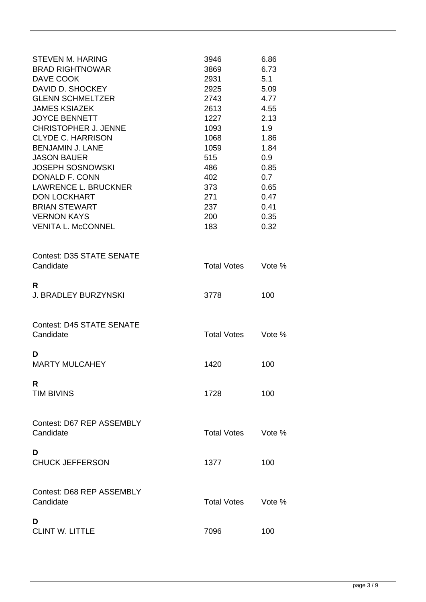| <b>STEVEN M. HARING</b><br><b>BRAD RIGHTNOWAR</b><br>DAVE COOK<br>DAVID D. SHOCKEY<br><b>GLENN SCHMELTZER</b><br><b>JAMES KSIAZEK</b><br><b>JOYCE BENNETT</b><br><b>CHRISTOPHER J. JENNE</b><br><b>CLYDE C. HARRISON</b>    | 3946<br>3869<br>2931<br>2925<br>2743<br>2613<br>1227<br>1093<br>1068 | 6.86<br>6.73<br>5.1<br>5.09<br>4.77<br>4.55<br>2.13<br>1.9<br>1.86 |
|-----------------------------------------------------------------------------------------------------------------------------------------------------------------------------------------------------------------------------|----------------------------------------------------------------------|--------------------------------------------------------------------|
| <b>BENJAMIN J. LANE</b><br><b>JASON BAUER</b><br><b>JOSEPH SOSNOWSKI</b><br>DONALD F. CONN<br><b>LAWRENCE L. BRUCKNER</b><br><b>DON LOCKHART</b><br><b>BRIAN STEWART</b><br><b>VERNON KAYS</b><br><b>VENITA L. McCONNEL</b> | 1059<br>515<br>486<br>402<br>373<br>271<br>237<br>200<br>183         | 1.84<br>0.9<br>0.85<br>0.7<br>0.65<br>0.47<br>0.41<br>0.35<br>0.32 |
| <b>Contest: D35 STATE SENATE</b><br>Candidate                                                                                                                                                                               | <b>Total Votes</b>                                                   | Vote %                                                             |
| R<br><b>J. BRADLEY BURZYNSKI</b>                                                                                                                                                                                            | 3778                                                                 | 100                                                                |
| <b>Contest: D45 STATE SENATE</b><br>Candidate                                                                                                                                                                               | <b>Total Votes</b>                                                   | Vote %                                                             |
| D<br><b>MARTY MULCAHEY</b>                                                                                                                                                                                                  | 1420                                                                 | 100                                                                |
| R<br><b>TIM BIVINS</b>                                                                                                                                                                                                      | 1728                                                                 | 100                                                                |
| Contest: D67 REP ASSEMBLY<br>Candidate                                                                                                                                                                                      | Total Votes                                                          | Vote %                                                             |
| D<br><b>CHUCK JEFFERSON</b>                                                                                                                                                                                                 | 1377                                                                 | 100                                                                |
| Contest: D68 REP ASSEMBLY<br>Candidate                                                                                                                                                                                      | Total Votes                                                          | Vote %                                                             |
| D<br><b>CLINT W. LITTLE</b>                                                                                                                                                                                                 | 7096                                                                 | 100                                                                |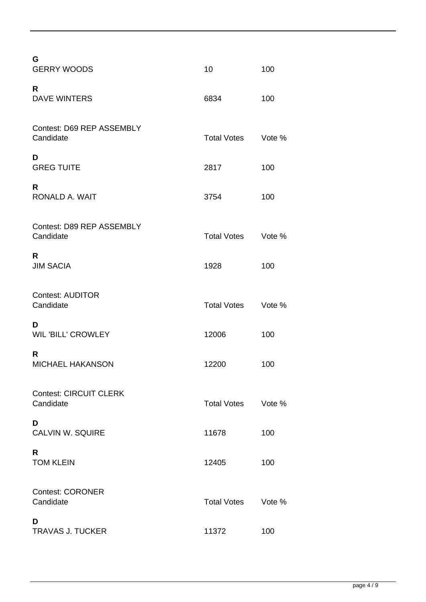| G<br><b>GERRY WOODS</b>                    | 10                 | 100    |
|--------------------------------------------|--------------------|--------|
| R<br><b>DAVE WINTERS</b>                   | 6834               | 100    |
| Contest: D69 REP ASSEMBLY<br>Candidate     | <b>Total Votes</b> | Vote % |
| D<br><b>GREG TUITE</b>                     | 2817               | 100    |
| R<br>RONALD A. WAIT                        | 3754               | 100    |
| Contest: D89 REP ASSEMBLY<br>Candidate     | <b>Total Votes</b> | Vote % |
| R<br><b>JIM SACIA</b>                      | 1928               | 100    |
| <b>Contest: AUDITOR</b><br>Candidate       | <b>Total Votes</b> | Vote % |
| D<br><b>WIL 'BILL' CROWLEY</b>             | 12006              | 100    |
| R<br><b>MICHAEL HAKANSON</b>               | 12200              | 100    |
| <b>Contest: CIRCUIT CLERK</b><br>Candidate | <b>Total Votes</b> | Vote % |
| D<br>CALVIN W. SQUIRE                      | 11678              | 100    |
| R<br><b>TOM KLEIN</b>                      | 12405              | 100    |
| <b>Contest: CORONER</b><br>Candidate       | <b>Total Votes</b> | Vote % |
| D<br><b>TRAVAS J. TUCKER</b>               | 11372              | 100    |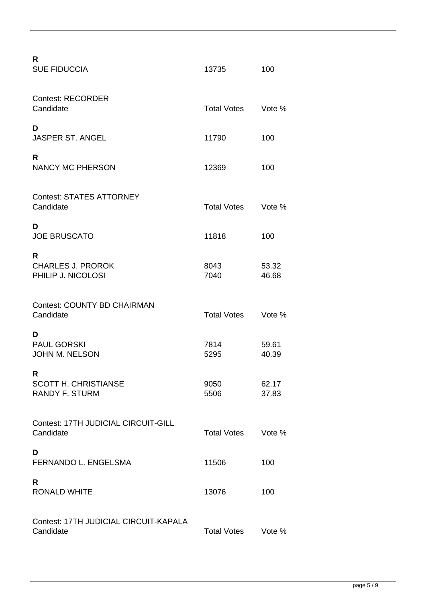| R<br><b>SUE FIDUCCIA</b>                                  | 13735              | 100            |
|-----------------------------------------------------------|--------------------|----------------|
| <b>Contest: RECORDER</b><br>Candidate                     | <b>Total Votes</b> | Vote %         |
| D<br><b>JASPER ST. ANGEL</b>                              | 11790              | 100            |
| R<br><b>NANCY MC PHERSON</b>                              | 12369              | 100            |
| <b>Contest: STATES ATTORNEY</b><br>Candidate              | <b>Total Votes</b> | Vote %         |
| D<br><b>JOE BRUSCATO</b>                                  | 11818              | 100            |
| R<br><b>CHARLES J. PROROK</b><br>PHILIP J. NICOLOSI       | 8043<br>7040       | 53.32<br>46.68 |
| <b>Contest: COUNTY BD CHAIRMAN</b><br>Candidate           | <b>Total Votes</b> | Vote %         |
| D<br><b>PAUL GORSKI</b><br><b>JOHN M. NELSON</b>          | 7814<br>5295       | 59.61<br>40.39 |
| R<br><b>SCOTT H. CHRISTIANSE</b><br><b>RANDY F. STURM</b> | 9050<br>5506       | 62.17<br>37.83 |
| Contest: 17TH JUDICIAL CIRCUIT-GILL<br>Candidate          | <b>Total Votes</b> | Vote %         |
| D<br>FERNANDO L. ENGELSMA                                 | 11506              | 100            |
| R<br><b>RONALD WHITE</b>                                  | 13076              | 100            |
| Contest: 17TH JUDICIAL CIRCUIT-KAPALA<br>Candidate        | <b>Total Votes</b> | Vote %         |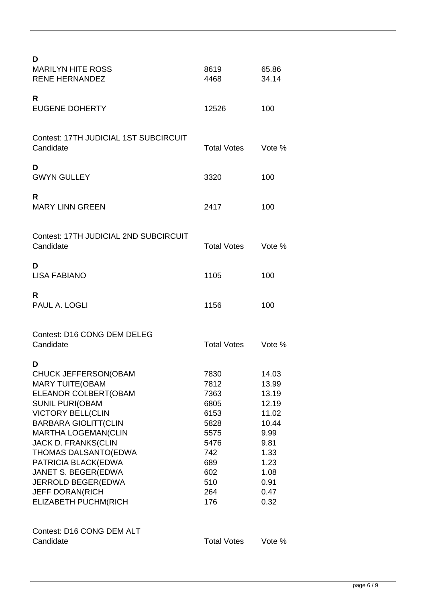| D<br><b>MARILYN HITE ROSS</b><br><b>RENE HERNANDEZ</b>                                                                                                                                                                                                                                                                                                                             | 8619<br>4468                                                                                           | 65.86<br>34.14                                                                                                     |
|------------------------------------------------------------------------------------------------------------------------------------------------------------------------------------------------------------------------------------------------------------------------------------------------------------------------------------------------------------------------------------|--------------------------------------------------------------------------------------------------------|--------------------------------------------------------------------------------------------------------------------|
| R<br><b>EUGENE DOHERTY</b>                                                                                                                                                                                                                                                                                                                                                         | 12526                                                                                                  | 100                                                                                                                |
| Contest: 17TH JUDICIAL 1ST SUBCIRCUIT<br>Candidate                                                                                                                                                                                                                                                                                                                                 | <b>Total Votes</b>                                                                                     | Vote %                                                                                                             |
| D<br><b>GWYN GULLEY</b>                                                                                                                                                                                                                                                                                                                                                            | 3320                                                                                                   | 100                                                                                                                |
| R<br><b>MARY LINN GREEN</b>                                                                                                                                                                                                                                                                                                                                                        | 2417                                                                                                   | 100                                                                                                                |
| Contest: 17TH JUDICIAL 2ND SUBCIRCUIT<br>Candidate                                                                                                                                                                                                                                                                                                                                 | <b>Total Votes</b>                                                                                     | Vote %                                                                                                             |
| D<br><b>LISA FABIANO</b>                                                                                                                                                                                                                                                                                                                                                           | 1105                                                                                                   | 100                                                                                                                |
| R<br>PAUL A. LOGLI                                                                                                                                                                                                                                                                                                                                                                 | 1156                                                                                                   | 100                                                                                                                |
| <b>Contest: D16 CONG DEM DELEG</b><br>Candidate                                                                                                                                                                                                                                                                                                                                    | <b>Total Votes</b>                                                                                     | Vote $%$                                                                                                           |
| D<br>CHUCK JEFFERSON(OBAM<br><b>MARY TUITE (OBAM</b><br>ELEANOR COLBERT(OBAM<br><b>SUNIL PURI(OBAM</b><br><b>VICTORY BELL(CLIN</b><br><b>BARBARA GIOLITT(CLIN</b><br><b>MARTHA LOGEMAN(CLIN</b><br><b>JACK D. FRANKS(CLIN</b><br>THOMAS DALSANTO(EDWA<br>PATRICIA BLACK(EDWA<br>JANET S. BEGER(EDWA<br>JERROLD BEGER(EDWA<br><b>JEFF DORAN(RICH</b><br><b>ELIZABETH PUCHM(RICH</b> | 7830<br>7812<br>7363<br>6805<br>6153<br>5828<br>5575<br>5476<br>742<br>689<br>602<br>510<br>264<br>176 | 14.03<br>13.99<br>13.19<br>12.19<br>11.02<br>10.44<br>9.99<br>9.81<br>1.33<br>1.23<br>1.08<br>0.91<br>0.47<br>0.32 |
| Contest: D16 CONG DEM ALT<br>Candidate                                                                                                                                                                                                                                                                                                                                             | <b>Total Votes</b>                                                                                     | Vote %                                                                                                             |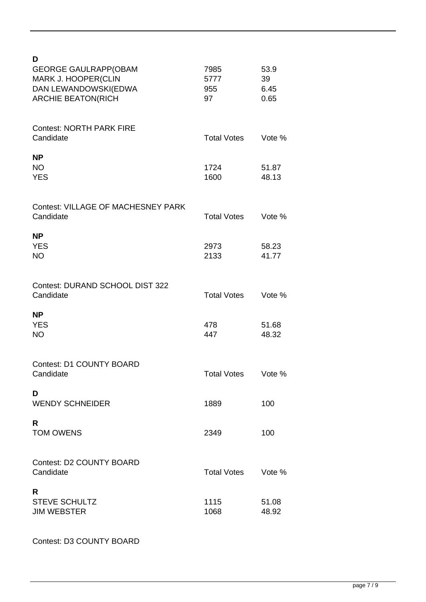| D<br><b>GEORGE GAULRAPP(OBAM</b><br>MARK J. HOOPER(CLIN<br>DAN LEWANDOWSKI(EDWA<br><b>ARCHIE BEATON(RICH</b> | 7985<br>5777<br>955<br>97 | 53.9<br>39<br>6.45<br>0.65 |
|--------------------------------------------------------------------------------------------------------------|---------------------------|----------------------------|
| <b>Contest: NORTH PARK FIRE</b><br>Candidate                                                                 | <b>Total Votes</b>        | Vote %                     |
| <b>NP</b><br><b>NO</b><br><b>YES</b>                                                                         | 1724<br>1600              | 51.87<br>48.13             |
| <b>Contest: VILLAGE OF MACHESNEY PARK</b><br>Candidate                                                       | <b>Total Votes</b>        | Vote %                     |
| <b>NP</b><br><b>YES</b><br><b>NO</b>                                                                         | 2973<br>2133              | 58.23<br>41.77             |
| Contest: DURAND SCHOOL DIST 322<br>Candidate                                                                 | <b>Total Votes</b>        | Vote %                     |
| <b>NP</b><br><b>YES</b><br><b>NO</b>                                                                         | 478<br>447                | 51.68<br>48.32             |
| <b>Contest: D1 COUNTY BOARD</b><br>Candidate                                                                 | <b>Total Votes</b>        | Vote %                     |
| D<br><b>WENDY SCHNEIDER</b>                                                                                  | 1889                      | 100                        |
| R.<br><b>TOM OWENS</b>                                                                                       | 2349                      | 100                        |
| <b>Contest: D2 COUNTY BOARD</b><br>Candidate                                                                 | <b>Total Votes</b>        | Vote %                     |
| R<br><b>STEVE SCHULTZ</b><br><b>JIM WEBSTER</b>                                                              | 1115<br>1068              | 51.08<br>48.92             |

Contest: D3 COUNTY BOARD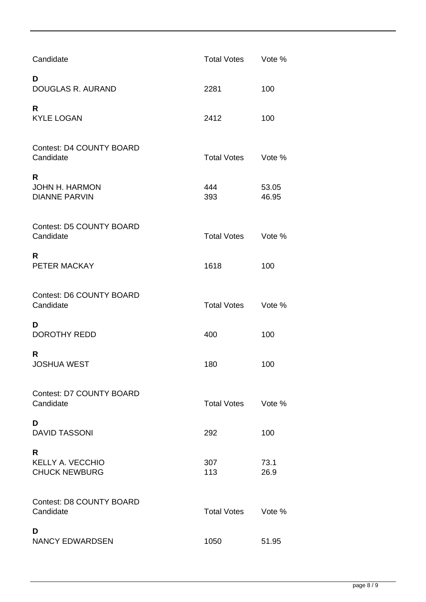| Candidate                                            | <b>Total Votes</b> | Vote %         |
|------------------------------------------------------|--------------------|----------------|
| D<br>DOUGLAS R. AURAND                               | 2281               | 100            |
| R<br><b>KYLE LOGAN</b>                               | 2412               | 100            |
| <b>Contest: D4 COUNTY BOARD</b><br>Candidate         | <b>Total Votes</b> | Vote %         |
| R<br><b>JOHN H. HARMON</b><br><b>DIANNE PARVIN</b>   | 444<br>393         | 53.05<br>46.95 |
| <b>Contest: D5 COUNTY BOARD</b><br>Candidate         | <b>Total Votes</b> | Vote %         |
| R<br>PETER MACKAY                                    | 1618               | 100            |
| <b>Contest: D6 COUNTY BOARD</b><br>Candidate         | <b>Total Votes</b> | Vote %         |
| D<br><b>DOROTHY REDD</b>                             | 400                | 100            |
| R<br><b>JOSHUA WEST</b>                              | 180                | 100            |
| <b>Contest: D7 COUNTY BOARD</b><br>Candidate         | <b>Total Votes</b> | Vote %         |
| D<br><b>DAVID TASSONI</b>                            | 292                | 100            |
| R<br><b>KELLY A. VECCHIO</b><br><b>CHUCK NEWBURG</b> | 307<br>113         | 73.1<br>26.9   |
| <b>Contest: D8 COUNTY BOARD</b><br>Candidate         | <b>Total Votes</b> | Vote %         |
| D<br><b>NANCY EDWARDSEN</b>                          | 1050               | 51.95          |